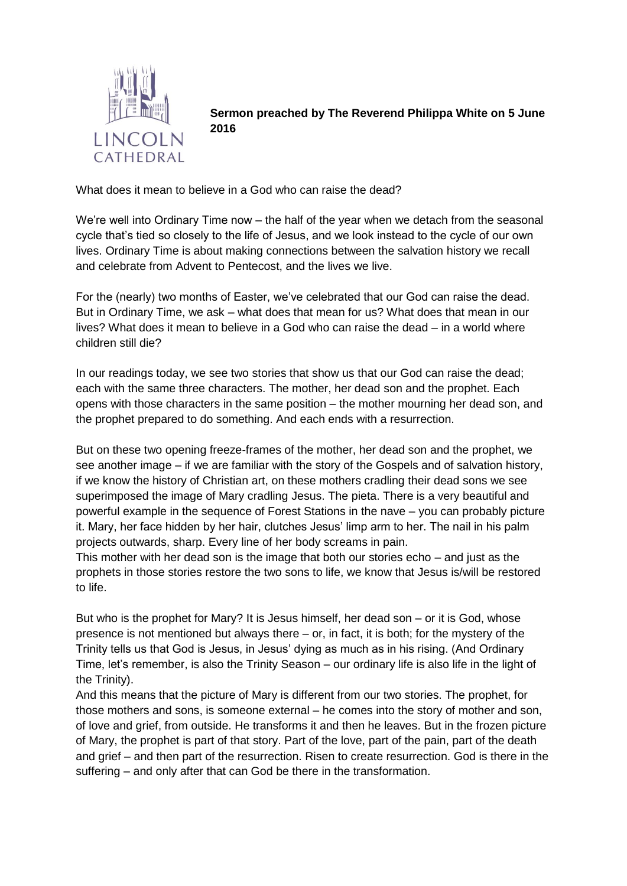

**Sermon preached by The Reverend Philippa White on 5 June 2016**

What does it mean to believe in a God who can raise the dead?

We're well into Ordinary Time now – the half of the year when we detach from the seasonal cycle that's tied so closely to the life of Jesus, and we look instead to the cycle of our own lives. Ordinary Time is about making connections between the salvation history we recall and celebrate from Advent to Pentecost, and the lives we live.

For the (nearly) two months of Easter, we've celebrated that our God can raise the dead. But in Ordinary Time, we ask – what does that mean for us? What does that mean in our lives? What does it mean to believe in a God who can raise the dead – in a world where children still die?

In our readings today, we see two stories that show us that our God can raise the dead; each with the same three characters. The mother, her dead son and the prophet. Each opens with those characters in the same position – the mother mourning her dead son, and the prophet prepared to do something. And each ends with a resurrection.

But on these two opening freeze-frames of the mother, her dead son and the prophet, we see another image – if we are familiar with the story of the Gospels and of salvation history, if we know the history of Christian art, on these mothers cradling their dead sons we see superimposed the image of Mary cradling Jesus. The pieta. There is a very beautiful and powerful example in the sequence of Forest Stations in the nave – you can probably picture it. Mary, her face hidden by her hair, clutches Jesus' limp arm to her. The nail in his palm projects outwards, sharp. Every line of her body screams in pain.

This mother with her dead son is the image that both our stories echo – and just as the prophets in those stories restore the two sons to life, we know that Jesus is/will be restored to life.

But who is the prophet for Mary? It is Jesus himself, her dead son – or it is God, whose presence is not mentioned but always there – or, in fact, it is both; for the mystery of the Trinity tells us that God is Jesus, in Jesus' dying as much as in his rising. (And Ordinary Time, let's remember, is also the Trinity Season – our ordinary life is also life in the light of the Trinity).

And this means that the picture of Mary is different from our two stories. The prophet, for those mothers and sons, is someone external – he comes into the story of mother and son, of love and grief, from outside. He transforms it and then he leaves. But in the frozen picture of Mary, the prophet is part of that story. Part of the love, part of the pain, part of the death and grief – and then part of the resurrection. Risen to create resurrection. God is there in the suffering – and only after that can God be there in the transformation.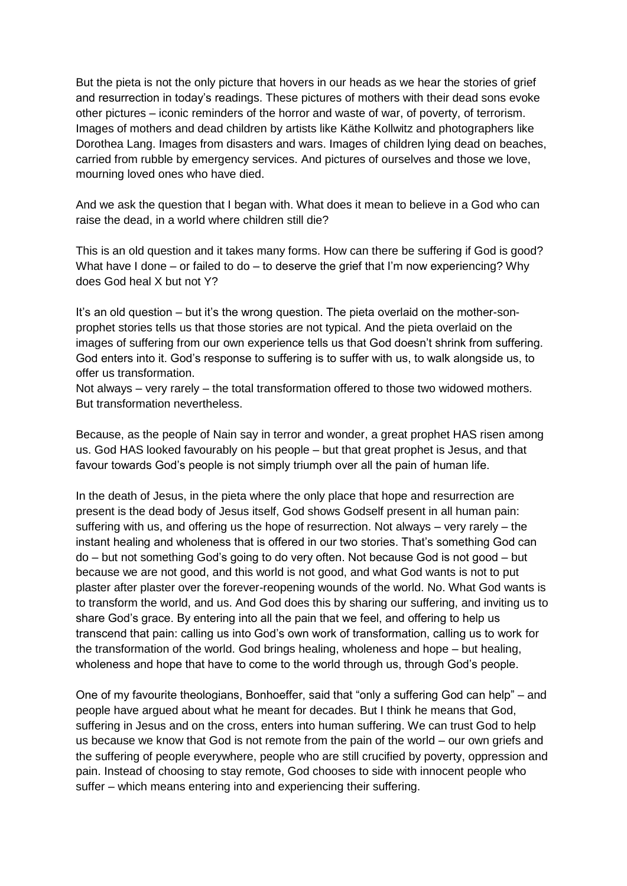But the pieta is not the only picture that hovers in our heads as we hear the stories of grief and resurrection in today's readings. These pictures of mothers with their dead sons evoke other pictures – iconic reminders of the horror and waste of war, of poverty, of terrorism. Images of mothers and dead children by artists like Käthe Kollwitz and photographers like Dorothea Lang. Images from disasters and wars. Images of children lying dead on beaches, carried from rubble by emergency services. And pictures of ourselves and those we love, mourning loved ones who have died.

And we ask the question that I began with. What does it mean to believe in a God who can raise the dead, in a world where children still die?

This is an old question and it takes many forms. How can there be suffering if God is good? What have I done – or failed to do – to deserve the grief that I'm now experiencing? Why does God heal X but not Y?

It's an old question – but it's the wrong question. The pieta overlaid on the mother-sonprophet stories tells us that those stories are not typical. And the pieta overlaid on the images of suffering from our own experience tells us that God doesn't shrink from suffering. God enters into it. God's response to suffering is to suffer with us, to walk alongside us, to offer us transformation.

Not always – very rarely – the total transformation offered to those two widowed mothers. But transformation nevertheless.

Because, as the people of Nain say in terror and wonder, a great prophet HAS risen among us. God HAS looked favourably on his people – but that great prophet is Jesus, and that favour towards God's people is not simply triumph over all the pain of human life.

In the death of Jesus, in the pieta where the only place that hope and resurrection are present is the dead body of Jesus itself, God shows Godself present in all human pain: suffering with us, and offering us the hope of resurrection. Not always – very rarely – the instant healing and wholeness that is offered in our two stories. That's something God can do – but not something God's going to do very often. Not because God is not good – but because we are not good, and this world is not good, and what God wants is not to put plaster after plaster over the forever-reopening wounds of the world. No. What God wants is to transform the world, and us. And God does this by sharing our suffering, and inviting us to share God's grace. By entering into all the pain that we feel, and offering to help us transcend that pain: calling us into God's own work of transformation, calling us to work for the transformation of the world. God brings healing, wholeness and hope – but healing, wholeness and hope that have to come to the world through us, through God's people.

One of my favourite theologians, Bonhoeffer, said that "only a suffering God can help" – and people have argued about what he meant for decades. But I think he means that God, suffering in Jesus and on the cross, enters into human suffering. We can trust God to help us because we know that God is not remote from the pain of the world – our own griefs and the suffering of people everywhere, people who are still crucified by poverty, oppression and pain. Instead of choosing to stay remote, God chooses to side with innocent people who suffer – which means entering into and experiencing their suffering.